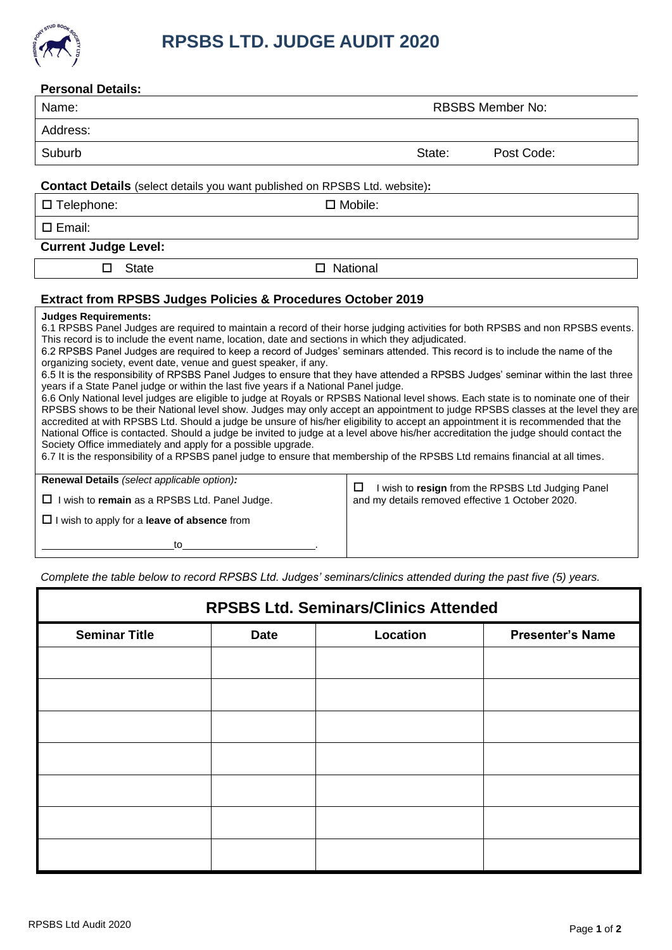

| <b>Personal Details:</b>                                                                                                                                                                                                                                                                                                                                                                                                                                                                                                                                                                                                                                                                                                                                                                                                                                                                                                                                                                                                                                                                                                                                                                                                                                                                                                                                                                                                                                                                                       |                                                                                                            |  |  |  |  |
|----------------------------------------------------------------------------------------------------------------------------------------------------------------------------------------------------------------------------------------------------------------------------------------------------------------------------------------------------------------------------------------------------------------------------------------------------------------------------------------------------------------------------------------------------------------------------------------------------------------------------------------------------------------------------------------------------------------------------------------------------------------------------------------------------------------------------------------------------------------------------------------------------------------------------------------------------------------------------------------------------------------------------------------------------------------------------------------------------------------------------------------------------------------------------------------------------------------------------------------------------------------------------------------------------------------------------------------------------------------------------------------------------------------------------------------------------------------------------------------------------------------|------------------------------------------------------------------------------------------------------------|--|--|--|--|
| Name:                                                                                                                                                                                                                                                                                                                                                                                                                                                                                                                                                                                                                                                                                                                                                                                                                                                                                                                                                                                                                                                                                                                                                                                                                                                                                                                                                                                                                                                                                                          | <b>RBSBS Member No:</b>                                                                                    |  |  |  |  |
| Address:                                                                                                                                                                                                                                                                                                                                                                                                                                                                                                                                                                                                                                                                                                                                                                                                                                                                                                                                                                                                                                                                                                                                                                                                                                                                                                                                                                                                                                                                                                       |                                                                                                            |  |  |  |  |
| Suburb                                                                                                                                                                                                                                                                                                                                                                                                                                                                                                                                                                                                                                                                                                                                                                                                                                                                                                                                                                                                                                                                                                                                                                                                                                                                                                                                                                                                                                                                                                         | Post Code:<br>State:                                                                                       |  |  |  |  |
| <b>Contact Details</b> (select details you want published on RPSBS Ltd. website):                                                                                                                                                                                                                                                                                                                                                                                                                                                                                                                                                                                                                                                                                                                                                                                                                                                                                                                                                                                                                                                                                                                                                                                                                                                                                                                                                                                                                              |                                                                                                            |  |  |  |  |
| $\Box$ Telephone:                                                                                                                                                                                                                                                                                                                                                                                                                                                                                                                                                                                                                                                                                                                                                                                                                                                                                                                                                                                                                                                                                                                                                                                                                                                                                                                                                                                                                                                                                              | $\square$ Mobile:                                                                                          |  |  |  |  |
| $\Box$ Email:                                                                                                                                                                                                                                                                                                                                                                                                                                                                                                                                                                                                                                                                                                                                                                                                                                                                                                                                                                                                                                                                                                                                                                                                                                                                                                                                                                                                                                                                                                  |                                                                                                            |  |  |  |  |
| <b>Current Judge Level:</b>                                                                                                                                                                                                                                                                                                                                                                                                                                                                                                                                                                                                                                                                                                                                                                                                                                                                                                                                                                                                                                                                                                                                                                                                                                                                                                                                                                                                                                                                                    |                                                                                                            |  |  |  |  |
| <b>State</b><br>$\Box$                                                                                                                                                                                                                                                                                                                                                                                                                                                                                                                                                                                                                                                                                                                                                                                                                                                                                                                                                                                                                                                                                                                                                                                                                                                                                                                                                                                                                                                                                         | □ National                                                                                                 |  |  |  |  |
| <b>Extract from RPSBS Judges Policies &amp; Procedures October 2019</b>                                                                                                                                                                                                                                                                                                                                                                                                                                                                                                                                                                                                                                                                                                                                                                                                                                                                                                                                                                                                                                                                                                                                                                                                                                                                                                                                                                                                                                        |                                                                                                            |  |  |  |  |
| <b>Judges Requirements:</b><br>6.1 RPSBS Panel Judges are required to maintain a record of their horse judging activities for both RPSBS and non RPSBS events.<br>This record is to include the event name, location, date and sections in which they adjudicated.<br>6.2 RPSBS Panel Judges are required to keep a record of Judges' seminars attended. This record is to include the name of the<br>organizing society, event date, venue and guest speaker, if any.<br>6.5 It is the responsibility of RPSBS Panel Judges to ensure that they have attended a RPSBS Judges' seminar within the last three<br>years if a State Panel judge or within the last five years if a National Panel judge.<br>6.6 Only National level judges are eligible to judge at Royals or RPSBS National level shows. Each state is to nominate one of their<br>RPSBS shows to be their National level show. Judges may only accept an appointment to judge RPSBS classes at the level they are<br>accredited at with RPSBS Ltd. Should a judge be unsure of his/her eligibility to accept an appointment it is recommended that the<br>National Office is contacted. Should a judge be invited to judge at a level above his/her accreditation the judge should contact the<br>Society Office immediately and apply for a possible upgrade.<br>6.7 It is the responsibility of a RPSBS panel judge to ensure that membership of the RPSBS Ltd remains financial at all times.<br>Renewal Details (select applicable option): |                                                                                                            |  |  |  |  |
| I wish to remain as a RPSBS Ltd. Panel Judge.<br>$\Box$                                                                                                                                                                                                                                                                                                                                                                                                                                                                                                                                                                                                                                                                                                                                                                                                                                                                                                                                                                                                                                                                                                                                                                                                                                                                                                                                                                                                                                                        | □<br>I wish to resign from the RPSBS Ltd Judging Panel<br>and my details removed effective 1 October 2020. |  |  |  |  |
| $\Box$ I wish to apply for a <b>leave of absence</b> from                                                                                                                                                                                                                                                                                                                                                                                                                                                                                                                                                                                                                                                                                                                                                                                                                                                                                                                                                                                                                                                                                                                                                                                                                                                                                                                                                                                                                                                      |                                                                                                            |  |  |  |  |
| to                                                                                                                                                                                                                                                                                                                                                                                                                                                                                                                                                                                                                                                                                                                                                                                                                                                                                                                                                                                                                                                                                                                                                                                                                                                                                                                                                                                                                                                                                                             |                                                                                                            |  |  |  |  |

*Complete the table below to record RPSBS Ltd. Judges' seminars/clinics attended during the past five (5) years.*

| <b>RPSBS Ltd. Seminars/Clinics Attended</b> |             |          |                         |  |
|---------------------------------------------|-------------|----------|-------------------------|--|
| <b>Seminar Title</b>                        | <b>Date</b> | Location | <b>Presenter's Name</b> |  |
|                                             |             |          |                         |  |
|                                             |             |          |                         |  |
|                                             |             |          |                         |  |
|                                             |             |          |                         |  |
|                                             |             |          |                         |  |
|                                             |             |          |                         |  |
|                                             |             |          |                         |  |